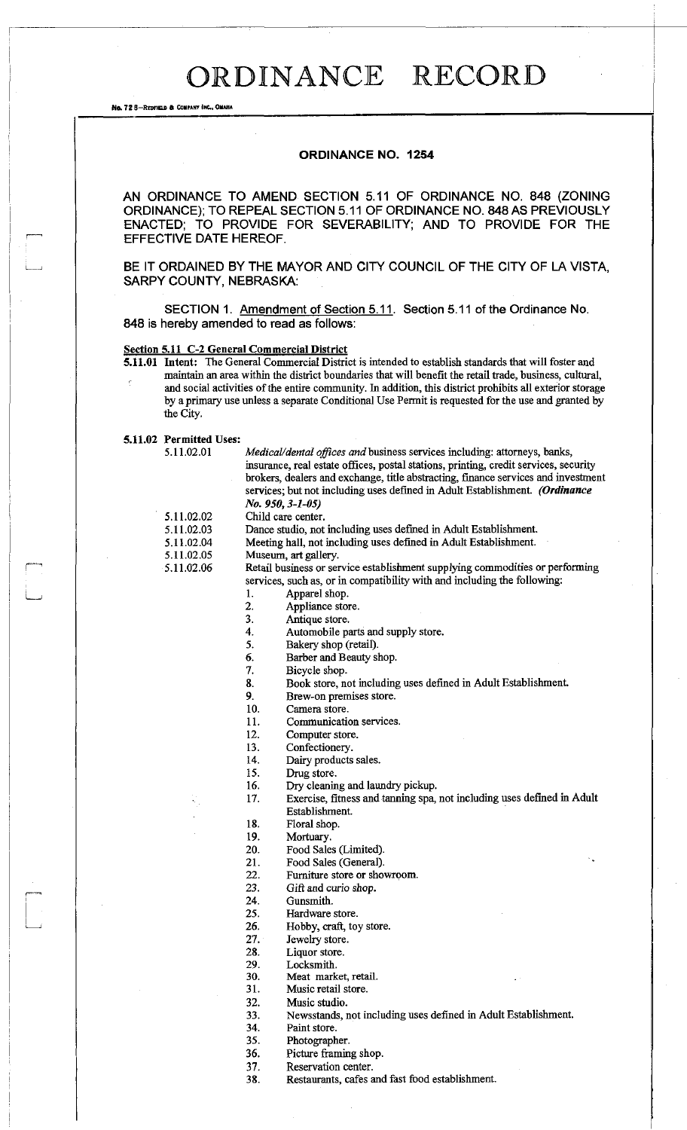# ORDINANCE RECORD

No. 72 B-REDFIELD & COMPANY INC., OMAHA

### **ORDINANCE NO. 1254**

AN ORDINANCE TO AMEND SECTION 5.11 OF ORDINANCE NO. 848 (ZONING ORDINANCE); TO REPEAL SECTION 5.11 OF ORDINANCE NO. 848 AS PREVIOUSLY ENACTED; TO PROVIDE FOR SEVERABILITY; AND TO PROVIDE FOR THE EFFECTIVE DATE HEREOF.

BE IT ORDAINED BY THE MAYOR AND CITY COUNCIL OF THE CITY OF LA VISTA, SARPY COUNTY, NEBRASKA:

SECTION 1. Amendment of Section 5.11. Section 5.11 of the Ordinance No. 848 is hereby amended to read as follows:

### **Section 5.11 C-2 General Commercial District**

**Intent:** The General Commercial District is intended to establish standards that will foster and **5.11.01**  maintain an area within the district boundaries that will benefit the retail trade, business, cultural, and social activities of the entire community. In addition, this district prohibits all exterior storage by a primary use unless a separate Conditional Use Permit is requested for the use and granted by the City.

#### **Permitted Uses: 5.11.02**

5.11.02.01 *Medical/dental offices* am/business services including: attorneys, banks, insurance, real estate offices, postal stations, printing, credit services, security brokers, dealers and exchange, title abstracting, finance services and investment services; but not including uses defined in Adult Establishment. *(Ordinance No. 950,3-1-05)*  5.11.02.02 Child care center. 5.11.02.03 Dance studio, not including uses defined in Adult Establishment. 5.11.02.04 Meeting hall, not including uses defined in Adult Establishment.<br>5.11.02.05 Museum, art gallery. Museum, art gallery. 5.11.02.06 Retail business or service establishment supplying commodities or performing services, such as, or in compatibility with and including the following: 1. Apparel shop. 2. Appliance store.<br>3. Antique store. Antique store. 4. Automobile parts and supply store. 5. Bakery shop (retail). 6. Barber and Beauty shop.<br>7. Bicycle shop. Bicycle shop. 8. Book store, not including uses defined in Adult Establishment. 9. Brew-on premises store.<br>10. Camera store. Camera store. 11. Communication services. 12. Computer store.<br>13. Confectionery. Confectionery. 14. Dairy products sales.<br>15. Drug store. Drug store. 16. Dry cleaning and laundry pickup. 17. Exercise, fitness and tanning spa, not including uses defined in Adult Establishment. 18. Floral shop. 19. Mortuary.<br>20. Food Sale Food Sales (Limited). 21. Food Sales (General). 22. Furniture store or showroom.<br>  $23$  Gift and curio shop. Gift and curio shop. 24. Gunsmith. 25. Hardware store. 26. Hobby, craft, toy store. 27. Jewelry store. 28. Liquor store.

29. Locksmith.

30. Meat market, retail.

- 31. Music retail store.
- 32. Music studio.
- 33. Newsstands, not including uses defined in Adult Establishment.

34. Paint store.

- 35. Photographer.
- 36. Picture framing shop.
- 
- 37. Reservation center.<br>38. Restaurants. cafes a Restaurants, cafes and fast food establishment.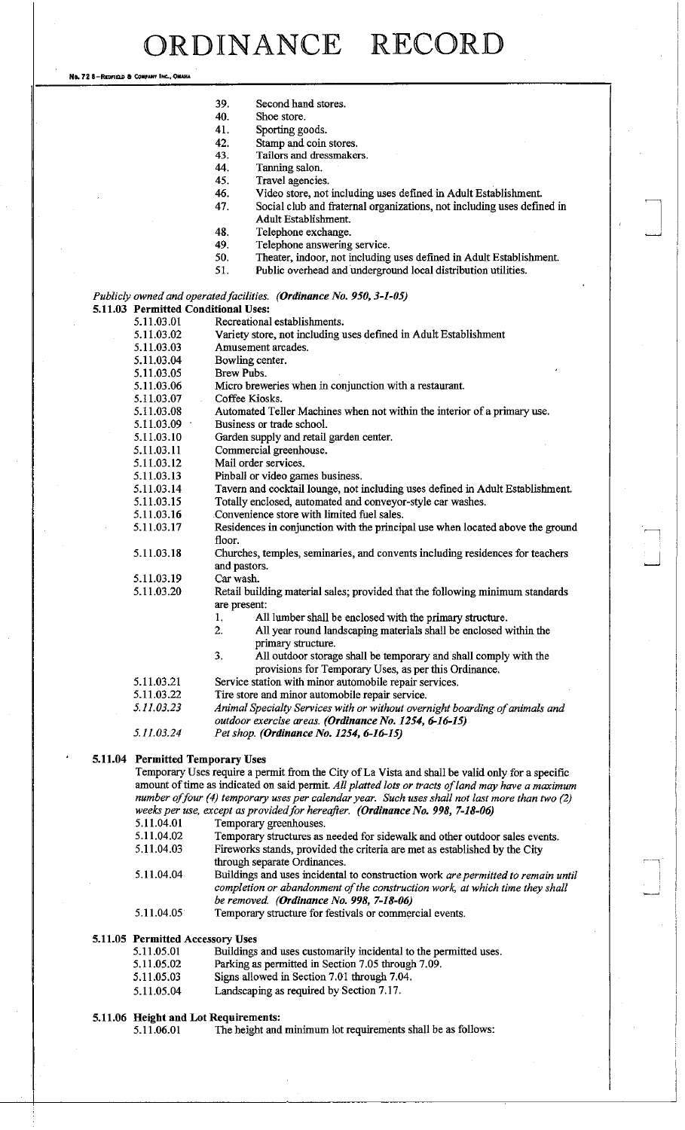RDINANCE RECORI

No. 72 8-REDFIELD & COMPANY INC., OMAHA

- 40. Shoe store.<br>41. Sporting go
- Sporting goods.
- 42. Stamp and coin stores.
- 43. Tailors and dressmakers.
- 44. Tanning salon.
- 45. Travel agencies.
- 46. Video store, not including uses defined in Adult Establishment.
- 47. Social club and fraternal organizations, not including uses defined in Adult Establishment.
- 48. Telephone exchange.
- 49. Telephone answering service.<br>50. Theater, indoor, not including
- 50. Theater, indoor, not including uses defined in Adult Establishment.<br>51. Public overhead and underground local distribution utilities.
- Public overhead and underground local distribution utilities.

*Publicly owned and operated facilities. (Ordinance No. 950,3-1-05)*  **5.11.03 Permitted Conditional Uses:** 

| 5.11.03.01 | Recreational establishments.                                                          |  |  |  |  |  |  |
|------------|---------------------------------------------------------------------------------------|--|--|--|--|--|--|
| 5.11.03.02 | Variety store, not including uses defined in Adult Establishment                      |  |  |  |  |  |  |
| 5.11.03.03 | Amusement arcades.                                                                    |  |  |  |  |  |  |
| 5.11.03.04 | Bowling center.                                                                       |  |  |  |  |  |  |
| 5.11.03.05 | <b>Brew Pubs.</b>                                                                     |  |  |  |  |  |  |
| 5.11.03.06 | Micro breweries when in conjunction with a restaurant.                                |  |  |  |  |  |  |
| 5.11.03.07 | Coffee Kiosks.                                                                        |  |  |  |  |  |  |
| 5.11.03.08 | Automated Teller Machines when not within the interior of a primary use.              |  |  |  |  |  |  |
| 5.11.03.09 | Business or trade school.                                                             |  |  |  |  |  |  |
| 5.11.03.10 | Garden supply and retail garden center.                                               |  |  |  |  |  |  |
| 5.11.03.11 | Commercial greenhouse.                                                                |  |  |  |  |  |  |
| 5.11.03.12 | Mail order services.                                                                  |  |  |  |  |  |  |
| 5.11.03.13 | Pinball or video games business.                                                      |  |  |  |  |  |  |
| 5.11.03.14 | Tavern and cocktail lounge, not including uses defined in Adult Establishment.        |  |  |  |  |  |  |
| 5.11.03.15 | Totally enclosed, automated and conveyor-style car washes.                            |  |  |  |  |  |  |
| 5.11.03.16 | Convenience store with limited fuel sales.                                            |  |  |  |  |  |  |
| 5.11.03.17 | Residences in conjunction with the principal use when located above the ground        |  |  |  |  |  |  |
|            | floor.                                                                                |  |  |  |  |  |  |
| 5.11.03.18 | Churches, temples, seminaries, and convents including residences for teachers         |  |  |  |  |  |  |
|            | and pastors.                                                                          |  |  |  |  |  |  |
| 5.11.03.19 | Car wash.                                                                             |  |  |  |  |  |  |
| 5.11.03.20 | Retail building material sales; provided that the following minimum standards         |  |  |  |  |  |  |
|            | are present:                                                                          |  |  |  |  |  |  |
|            | All lumber shall be enclosed with the primary structure.<br>1.                        |  |  |  |  |  |  |
|            | $\overline{2}$ .<br>All year round landscaping materials shall be enclosed within the |  |  |  |  |  |  |
|            | primary structure.                                                                    |  |  |  |  |  |  |
|            | 3.<br>All outdoor storage shall be temporary and shall comply with the                |  |  |  |  |  |  |
|            | provisions for Temporary Uses, as per this Ordinance.                                 |  |  |  |  |  |  |
| 5.11.03.21 | Service station with minor automobile repair services.                                |  |  |  |  |  |  |
| 5.11.03.22 | Tire store and minor automobile repair service.                                       |  |  |  |  |  |  |
| 5.11.03.23 | Animal Specialty Services with or without overnight boarding of animals and           |  |  |  |  |  |  |
|            | outdoor exercise areas. (Ordinance No. 1254, 6-16-15)                                 |  |  |  |  |  |  |
| 5.11.03.24 | Pet shop. (Ordinance No. 1254, 6-16-15)                                               |  |  |  |  |  |  |

## **5.11.04 Permitted Temporary Uses**

Temporary Uses require a permit from the City of La Vista and shall be valid only for a specific amount of time as indicated on said permit. *All platted lots or tracts of land may have a maximum number of four (4) temporary uses per calendar year. Such uses shall not last more than two (2) weeks per use, except as provided for hereafter. (Ordinance No. 998, 7-18-06)*  5.11.04.01 Temporary greenhouses.<br>5.11.04.02 Temporary structures as a 5.11.04.02 Temporary structures as needed for sidewalk and other outdoor sales events.

| <b>J.I.U.T.</b> UZ | Temporary structures as needed for sidewark and other outdoor safes events.      |
|--------------------|----------------------------------------------------------------------------------|
| 5.11.04.03         | Fireworks stands, provided the criteria are met as established by the City       |
|                    | through separate Ordinances.                                                     |
| 5.11.04.04         | Buildings and uses incidental to construction work are permitted to remain until |
|                    | completion or abandonment of the construction work, at which time they shall     |
|                    | be removed. ( <b>Ordinance</b> No. 998, $7-18-06$ )                              |
|                    |                                                                                  |

5.11.04.05 Temporary structure for festivals or commercial events.

# **5.11.05 Permitted Accessory Uses**

| 5.11.05.01 | Buildings and uses customarily incidental to the permitted uses. |
|------------|------------------------------------------------------------------|
| 5.11.05.02 | Parking as permitted in Section 7.05 through 7.09.               |
| 5.11.05.03 | Signs allowed in Section 7.01 through 7.04.                      |

5.11.05.04 Landscaping as required by Section 7.17.

### **5.11.06 Height and Lot Requirements:**

5.11.06.01 The height and minimum lot requirements shall be as follows: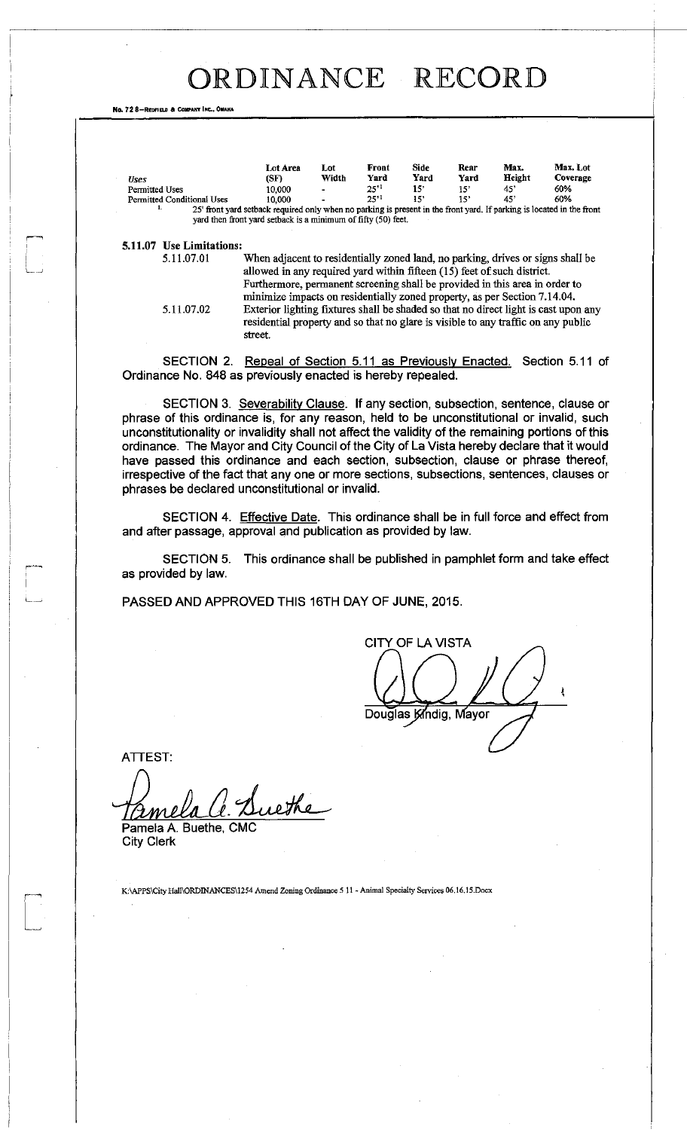# ORDINANCE RECORD

No. 72 8-REDFIELD & COMPANY INC., OM

| <b>Uses</b>                | Lot Area<br>(SF)                                                                                                      | Lot<br>Width   | Front<br>Yard | Side<br>Yard | Rear<br>Yard    | Max.<br>Height | Max. Lot<br>Coverage |
|----------------------------|-----------------------------------------------------------------------------------------------------------------------|----------------|---------------|--------------|-----------------|----------------|----------------------|
| Permitted Uses             | 10.000                                                                                                                | $\blacksquare$ | $25^{11}$     | 15'          | 15 <sup>2</sup> | 45'            | 60%                  |
| Permitted Conditional Uses | 10.000                                                                                                                | $\sim$         | $25^{11}$     | -151         | 15              | 45.            | 60%                  |
| ь.                         | 25' front yard setback required only when no parking is present in the front yard. If parking is located in the front |                |               |              |                 |                |                      |
|                            | yard then front yard setback is a minimum of fifty (50) feet.                                                         |                |               |              |                 |                |                      |

**5.11.07 Use Limitations:** 

When adjacent to residentially zoned land, no parking, drives or signs shall be allowed in any required yard within fifteen (15) feet of such district. Furthermore, permanent screening shall be provided in this area in order to minize impacts on residentially zoned property, as per Section 7.14.04. 5.11.07.02 Exterior lighting fixtures shall be shaded so that no direct light is cast upon any residential property and so that no glare is visible to any traffic on any public street.

SECTION 2. Repeal of Section 5.11 as Previously Enacted. Section 5.11 of Ordinance No. 848 as previously enacted is hereby repealed.

SECTION 3. Severability Clause. If any section, subsection, sentence, clause or phrase of this ordinance is, for any reason, held to be unconstitutional or invalid, such unconstitutionality or invalidity shall not affect the validity of the remaining portions of this ordinance. The Mayor and City Council of the City of La Vista hereby declare that it would have passed this ordinance and each section, subsection, clause or phrase thereof, irrespective of the fact that any one or more sections, subsections, sentences, clauses or phrases be declared unconstitutional or invalid.

SECTION 4. Effective Date. This ordinance shall be in full force and effect from and after passage, approval and publication as provided by law.

SECTION 5. This ordinance shall be published in pamphlet form and take effect as provided by law.

PASSED AND APPROVED THIS 16TH DAY OF JUNE, 2015.

**CITY OF LA VISTA** Douglas Kindig, Mayor

ATTEST:

uethe

Pamela A. Buethe, City Clerk

K:\APPS\City Hall\ORDINANCES\1254 Amend Zoning Ordinance 5 11 - Animal Specialty Services 06.16.15.Docx